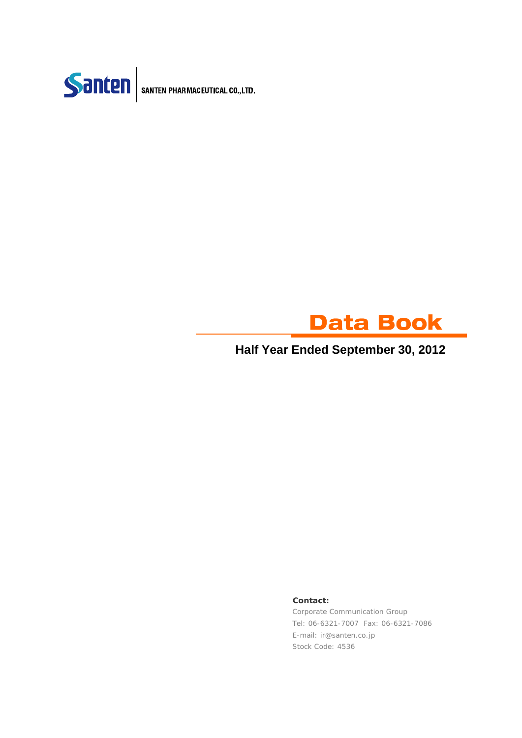



### **Half Year Ended September 30, 2012**

### **Contact:**

Corporate Communication Group Tel: 06-6321-7007 Fax: 06-6321-7086 E-mail: ir@santen.co.jp Stock Code: 4536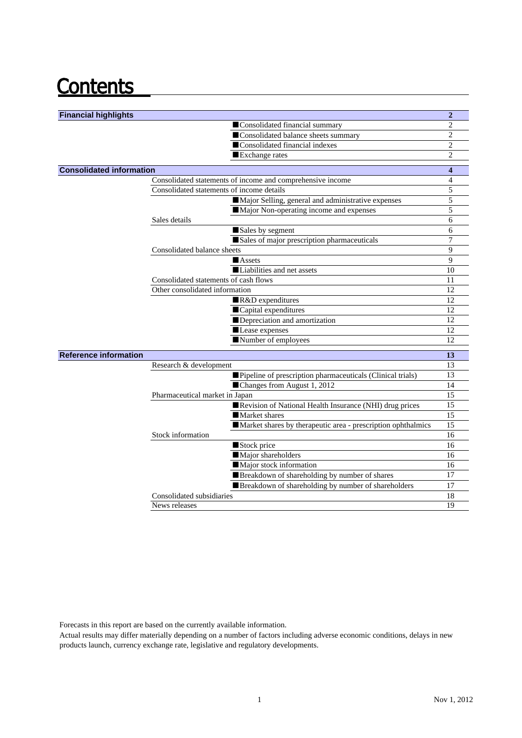## **Contents**

| <b>Financial highlights</b>                                  | $\overline{2}$   |
|--------------------------------------------------------------|------------------|
| Consolidated financial summary                               | $\overline{2}$   |
| Consolidated balance sheets summary                          | $\overline{c}$   |
| Consolidated financial indexes                               | $\overline{2}$   |
| Exchange rates                                               | $\overline{c}$   |
|                                                              |                  |
| <b>Consolidated information</b>                              | $\boldsymbol{4}$ |
| Consolidated statements of income and comprehensive income   | 4                |
| Consolidated statements of income details                    | 5                |
| Major Selling, general and administrative expenses           | 5<br>5           |
| Major Non-operating income and expenses                      |                  |
| Sales details                                                | 6<br>6           |
| Sales by segment                                             | 7                |
| Sales of major prescription pharmaceuticals                  | 9                |
| Consolidated balance sheets                                  |                  |
| Assets<br>Liabilities and net assets                         | 9                |
| Consolidated statements of cash flows                        | 10<br>11         |
| Other consolidated information                               | 12               |
|                                                              | 12               |
| R&D expenditures<br>Capital expenditures                     | 12               |
| Depreciation and amortization                                | 12               |
| Lease expenses                                               | 12               |
| Number of employees                                          | 12               |
|                                                              |                  |
| <b>Reference information</b>                                 | 13               |
| Research & development                                       | 13               |
| Pipeline of prescription pharmaceuticals (Clinical trials)   | 13               |
| ■Changes from August 1, 2012                                 | 14               |
| Pharmaceutical market in Japan                               | 15               |
| Revision of National Health Insurance (NHI) drug prices      | 15               |
| Market shares                                                | 15               |
| Market shares by therapeutic area - prescription ophthalmics | 15               |
| Stock information                                            | 16               |
| Stock price                                                  | 16               |
| Major shareholders                                           | 16               |
| Major stock information                                      | 16               |
| Breakdown of shareholding by number of shares                | 17               |
| Breakdown of shareholding by number of shareholders          | 17               |
| Consolidated subsidiaries                                    | 18               |
| News releases                                                | 19               |

Forecasts in this report are based on the currently available information.

Actual results may differ materially depending on a number of factors including adverse economic conditions, delays in new products launch, currency exchange rate, legislative and regulatory developments.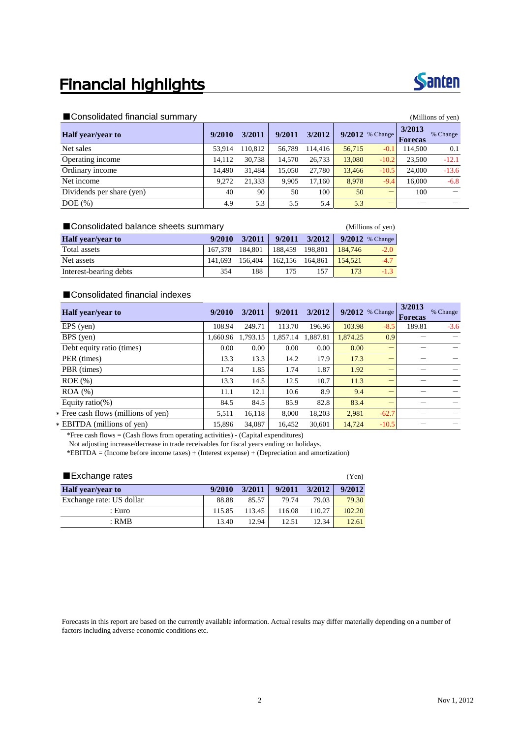## **Financial highlights**



### ■Consolidated financial summary (Millions of yen)

| <b>Half</b> year/year to  | 9/2010 | 3/2011  | 9/2011 | 3/2012  |        | $9/2012$ % Change | 3/2013<br><b>Forecas</b> | % Change |  |
|---------------------------|--------|---------|--------|---------|--------|-------------------|--------------------------|----------|--|
| Net sales                 | 53.914 | 110.812 | 56,789 | 114,416 | 56,715 | $-0.1$            | 114.500                  | 0.1      |  |
| Operating income          | 14,112 | 30.738  | 14.570 | 26.733  | 13,080 | $-10.2$           | 23.500                   | $-12.1$  |  |
| Ordinary income           | 14.490 | 31.484  | 15.050 | 27.780  | 13.466 | $-10.5$           | 24,000                   | $-13.6$  |  |
| Net income                | 9.272  | 21,333  | 9.905  | 17,160  | 8.978  | $-9.4$            | 16,000                   | $-6.8$   |  |
| Dividends per share (yen) | 40     | 90      | 50     | 100     | 50     | _                 | 100                      |          |  |
| $DOE$ $(\%)$              | 4.9    | 5.3     | 5.5    | 5.4     | 5.3    | _                 |                          |          |  |

| ■ Consolidated balance sheets summary |                 | (Millions of yen) |         |         |         |                   |
|---------------------------------------|-----------------|-------------------|---------|---------|---------|-------------------|
| <b>Half</b> year/year to              | 9/2010          | 3/2011            | 9/2011  | 3/2012  |         | $9/2012$ % Change |
| Total assets                          | 167.378 184.801 |                   | 188.459 | 198.801 | 184,746 | $-2.0$            |
| Net assets                            | 141.693         | 156,404           | 162.156 | 164.861 | 154.521 | $-4.7$            |
| Interest-bearing debts                | 354             | 188               | 175     | 157     | 173     | $-1.3$            |

### ■Consolidated financial indexes

| <b>Half</b> year/year to            | 9/2010   | 3/2011   | 9/2011   | 3/2012   |          | $9/2012$ % Change | 3/2013<br><b>Forecas</b> | % Change |
|-------------------------------------|----------|----------|----------|----------|----------|-------------------|--------------------------|----------|
| $EPS$ (yen)                         | 108.94   | 249.71   | 113.70   | 196.96   | 103.98   | $-8.5$            | 189.81                   | $-3.6$   |
| BPS (yen)                           | 1.660.96 | 1,793.15 | 1.857.14 | 1.887.81 | 1,874.25 | 0.9               |                          |          |
| Debt equity ratio (times)           | 0.00     | 0.00     | 0.00     | 0.00     | 0.00     | –                 |                          |          |
| PER (times)                         | 13.3     | 13.3     | 14.2     | 17.9     | 17.3     | -                 |                          |          |
| PBR (times)                         | 1.74     | 1.85     | 1.74     | 1.87     | 1.92     |                   |                          |          |
| $ROE$ (%)                           | 13.3     | 14.5     | 12.5     | 10.7     | 11.3     |                   |                          |          |
| $ROA (\%)$                          | 11.1     | 12.1     | 10.6     | 8.9      | 9.4      | —                 |                          |          |
| Equity ratio(%)                     | 84.5     | 84.5     | 85.9     | 82.8     | 83.4     |                   |                          |          |
| * Free cash flows (millions of yen) | 5,511    | 16,118   | 8.000    | 18,203   | 2.981    | $-62.7$           |                          |          |
| * EBITDA (millions of yen)          | 15.896   | 34,087   | 16.452   | 30.601   | 14.724   | $-10.5$           |                          |          |

\*Free cash flows = (Cash flows from operating activities) - (Capital expenditures) Not adjusting increase/decrease in trade receivables for fiscal years ending on holidays. \*EBITDA = (Income before income taxes) + (Interest expense) + (Depreciation and amortization)

| ■ Exchange rates         |        |        |        |        | (Yen)  |
|--------------------------|--------|--------|--------|--------|--------|
| <b>Half</b> year/year to | 9/2010 | 3/2011 | 9/2011 | 3/2012 | 9/2012 |
| Exchange rate: US dollar | 88.88  | 85.57  | 79.74  | 79.03  | 79.30  |
| : Euro                   | 115.85 | 113.45 | 116.08 | 110.27 | 102.20 |
| $:$ RMB                  | 13.40  | 12.94  | 12.51  | 12.34  | 12.61  |

Forecasts in this report are based on the currently available information. Actual results may differ materially depending on a number of factors including adverse economic conditions etc.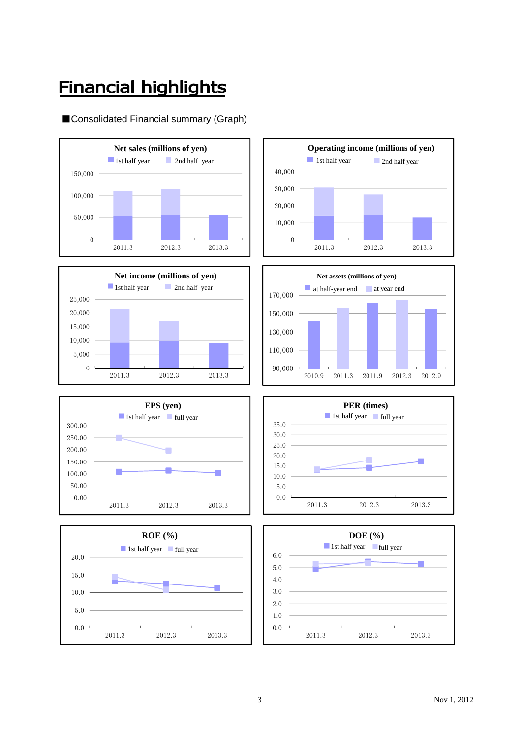## **Financial highlights**

### ■Consolidated Financial summary (Graph)















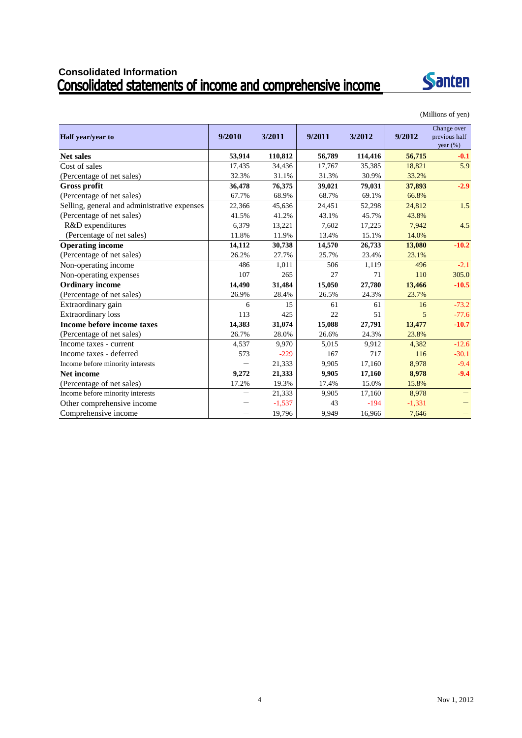# Consolidated Information<br>Consolidated statements of income and comprehensive income



(Millions of yen)

| Half year/year to                            | 9/2010 | 3/2011   | 9/2011 | 3/2012  | 9/2012   | Change over<br>previous half<br>year $(\% )$ |
|----------------------------------------------|--------|----------|--------|---------|----------|----------------------------------------------|
| <b>Net sales</b>                             | 53,914 | 110,812  | 56,789 | 114,416 | 56,715   | $-0.1$                                       |
| Cost of sales                                | 17,435 | 34,436   | 17,767 | 35,385  | 18,821   | 5.9                                          |
| (Percentage of net sales)                    | 32.3%  | 31.1%    | 31.3%  | 30.9%   | 33.2%    |                                              |
| <b>Gross profit</b>                          | 36,478 | 76,375   | 39,021 | 79,031  | 37,893   | $-2.9$                                       |
| (Percentage of net sales)                    | 67.7%  | 68.9%    | 68.7%  | 69.1%   | 66.8%    |                                              |
| Selling, general and administrative expenses | 22,366 | 45,636   | 24,451 | 52,298  | 24,812   | 1.5                                          |
| (Percentage of net sales)                    | 41.5%  | 41.2%    | 43.1%  | 45.7%   | 43.8%    |                                              |
| R&D expenditures                             | 6.379  | 13,221   | 7.602  | 17,225  | 7,942    | 4.5                                          |
| (Percentage of net sales)                    | 11.8%  | 11.9%    | 13.4%  | 15.1%   | 14.0%    |                                              |
| <b>Operating income</b>                      | 14,112 | 30,738   | 14,570 | 26,733  | 13,080   | $-10.2$                                      |
| (Percentage of net sales)                    | 26.2%  | 27.7%    | 25.7%  | 23.4%   | 23.1%    |                                              |
| Non-operating income                         | 486    | 1,011    | 506    | 1,119   | 496      | $-2.1$                                       |
| Non-operating expenses                       | 107    | 265      | 27     | 71      | 110      | 305.0                                        |
| <b>Ordinary income</b>                       | 14,490 | 31,484   | 15,050 | 27,780  | 13,466   | $-10.5$                                      |
| (Percentage of net sales)                    | 26.9%  | 28.4%    | 26.5%  | 24.3%   | 23.7%    |                                              |
| Extraordinary gain                           | 6      | 15       | 61     | 61      | 16       | $-73.2$                                      |
| <b>Extraordinary loss</b>                    | 113    | 425      | 22     | 51      | 5        | $-77.6$                                      |
| Income before income taxes                   | 14,383 | 31,074   | 15,088 | 27,791  | 13,477   | $-10.7$                                      |
| (Percentage of net sales)                    | 26.7%  | 28.0%    | 26.6%  | 24.3%   | 23.8%    |                                              |
| Income taxes - current                       | 4,537  | 9,970    | 5,015  | 9,912   | 4,382    | $-12.6$                                      |
| Income taxes - deferred                      | 573    | $-229$   | 167    | 717     | 116      | $-30.1$                                      |
| Income before minority interests             |        | 21,333   | 9,905  | 17,160  | 8,978    | $-9.4$                                       |
| <b>Net income</b>                            | 9,272  | 21,333   | 9,905  | 17,160  | 8,978    | $-9.4$                                       |
| (Percentage of net sales)                    | 17.2%  | 19.3%    | 17.4%  | 15.0%   | 15.8%    |                                              |
| Income before minority interests             |        | 21,333   | 9,905  | 17,160  | 8,978    |                                              |
| Other comprehensive income                   |        | $-1,537$ | 43     | $-194$  | $-1,331$ |                                              |
| Comprehensive income                         |        | 19,796   | 9,949  | 16,966  | 7,646    |                                              |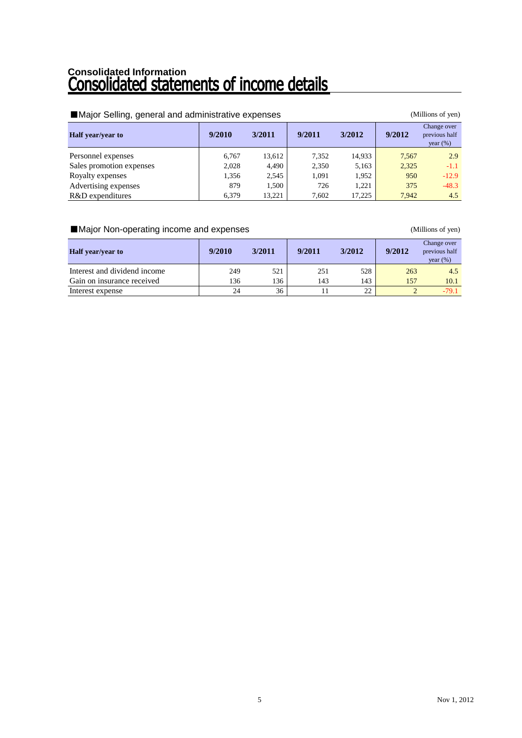# Consolidated Information<br>**Consolidated statements of income details**

| Major Selling, general and administrative expenses<br>(Millions of yen) |        |        |        |        |        |                                             |  |  |  |  |
|-------------------------------------------------------------------------|--------|--------|--------|--------|--------|---------------------------------------------|--|--|--|--|
| <b>Half</b> year/year to                                                | 9/2010 | 3/2011 | 9/2011 | 3/2012 | 9/2012 | Change over<br>previous half<br>year $(\%)$ |  |  |  |  |
| Personnel expenses                                                      | 6,767  | 13,612 | 7,352  | 14,933 | 7,567  | 2.9                                         |  |  |  |  |
| Sales promotion expenses                                                | 2,028  | 4,490  | 2,350  | 5,163  | 2,325  | -1.1                                        |  |  |  |  |
| Royalty expenses                                                        | 1,356  | 2,545  | 1.091  | 1,952  | 950    | $-12.9$                                     |  |  |  |  |
| Advertising expenses                                                    | 879    | 1,500  | 726    | 1,221  | 375    | $-48.3$                                     |  |  |  |  |
| R&D expenditures                                                        | 6,379  | 13.221 | 7,602  | 17,225 | 7.942  | 4.5                                         |  |  |  |  |

### ■Major Non-operating income and expenses (Millions of yen)

| <b>Half</b> year/year to     | 9/2010 | 3/2011 | 9/2011 | 3/2012 | 9/2012 | Change over<br>previous half<br>year $(\% )$ |
|------------------------------|--------|--------|--------|--------|--------|----------------------------------------------|
| Interest and dividend income | 249    | 521    | 251    | 528    | 263    | 4.5                                          |
| Gain on insurance received   | 136    | 136    | 143    | 143    | 157    | 10.1                                         |
| Interest expense             | 24     | 36     |        | 22     |        | $-79.1$                                      |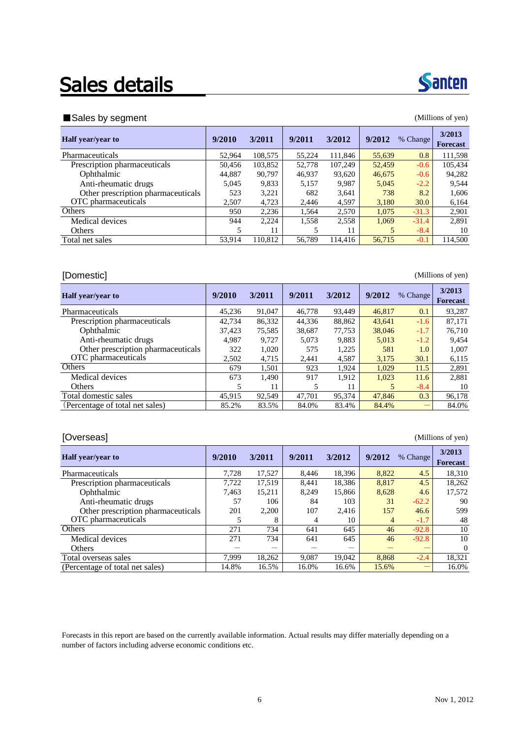## Sales details



### ■ Sales by segment (Millions of yen)

| ັ                                  |        |         |        |         |        |          |                           |
|------------------------------------|--------|---------|--------|---------|--------|----------|---------------------------|
| <b>Half</b> year/year to           | 9/2010 | 3/2011  | 9/2011 | 3/2012  | 9/2012 | % Change | 3/2013<br><b>Forecast</b> |
| Pharmaceuticals                    | 52,964 | 108,575 | 55,224 | 111,846 | 55,639 | 0.8      | 111,598                   |
| Prescription pharmaceuticals       | 50.456 | 103,852 | 52,778 | 107,249 | 52,459 | $-0.6$   | 105,434                   |
| Ophthalmic                         | 44,887 | 90,797  | 46,937 | 93,620  | 46,675 | $-0.6$   | 94,282                    |
| Anti-rheumatic drugs               | 5.045  | 9,833   | 5,157  | 9.987   | 5,045  | $-2.2$   | 9.544                     |
| Other prescription pharmaceuticals | 523    | 3,221   | 682    | 3,641   | 738    | 8.2      | 1,606                     |
| OTC pharmaceuticals                | 2.507  | 4,723   | 2.446  | 4,597   | 3,180  | 30.0     | 6,164                     |
| Others                             | 950    | 2,236   | 1,564  | 2,570   | 1.075  | $-31.3$  | 2,901                     |
| Medical devices                    | 944    | 2,224   | 1,558  | 2,558   | 1,069  | $-31.4$  | 2,891                     |
| <b>Others</b>                      | 5      | 11      |        | 11      | 5      | $-8.4$   | 10                        |
| Total net sales                    | 53,914 | 110,812 | 56,789 | 114,416 | 56,715 | $-0.1$   | 114,500                   |
|                                    |        |         |        |         |        |          |                           |

### [Domestic] (Millions of yen)

| <b>Half</b> year/year to           | 9/2010 | 3/2011 | 9/2011 | 3/2012 | 9/2012 | % Change | 3/2013<br><b>Forecast</b> |
|------------------------------------|--------|--------|--------|--------|--------|----------|---------------------------|
| Pharmaceuticals                    | 45.236 | 91,047 | 46,778 | 93.449 | 46.817 | 0.1      | 93,287                    |
| Prescription pharmaceuticals       | 42.734 | 86,332 | 44,336 | 88,862 | 43,641 | $-1.6$   | 87,171                    |
| Ophthalmic                         | 37.423 | 75,585 | 38,687 | 77.753 | 38,046 | $-1.7$   | 76.710                    |
| Anti-rheumatic drugs               | 4.987  | 9.727  | 5,073  | 9.883  | 5,013  | $-1.2$   | 9.454                     |
| Other prescription pharmaceuticals | 322    | 1,020  | 575    | 1,225  | 581    | 1.0      | 1,007                     |
| OTC pharmaceuticals                | 2.502  | 4,715  | 2.441  | 4,587  | 3,175  | 30.1     | 6,115                     |
| Others                             | 679    | 1.501  | 923    | 1.924  | 1.029  | 11.5     | 2,891                     |
| Medical devices                    | 673    | 1,490  | 917    | 1,912  | 1,023  | 11.6     | 2,881                     |
| <b>Others</b>                      | 5      | 11     | 5      | 11     | 5      | $-8.4$   | 10                        |
| Total domestic sales               | 45.915 | 92.549 | 47.701 | 95.374 | 47,846 | 0.3      | 96.178                    |
| (Percentage of total net sales)    | 85.2%  | 83.5%  | 84.0%  | 83.4%  | 84.4%  |          | 84.0%                     |

### [Overseas] (Millions of yen)

| <b>Half</b> year/year to           | 9/2010 | 3/2011 | 9/2011 | 3/2012 | 9/2012 | % Change | 3/2013<br><b>Forecast</b> |
|------------------------------------|--------|--------|--------|--------|--------|----------|---------------------------|
| Pharmaceuticals                    | 7,728  | 17,527 | 8.446  | 18,396 | 8,822  | 4.5      | 18,310                    |
| Prescription pharmaceuticals       | 7.722  | 17.519 | 8,441  | 18,386 | 8,817  | 4.5      | 18.262                    |
| Ophthalmic                         | 7.463  | 15,211 | 8,249  | 15.866 | 8,628  | 4.6      | 17,572                    |
| Anti-rheumatic drugs               | 57     | 106    | 84     | 103    | 31     | $-62.2$  | 90                        |
| Other prescription pharmaceuticals | 201    | 2.200  | 107    | 2.416  | 157    | 46.6     | 599                       |
| OTC pharmaceuticals                | 5      | 8      | 4      | 10     | 4      | $-1.7$   | 48                        |
| <b>Others</b>                      | 271    | 734    | 641    | 645    | 46     | $-92.8$  | 10                        |
| Medical devices                    | 271    | 734    | 641    | 645    | 46     | $-92.8$  | 10                        |
| <b>Others</b>                      |        |        |        |        |        |          | $\Omega$                  |
| Total overseas sales               | 7.999  | 18,262 | 9,087  | 19,042 | 8.868  | $-2.4$   | 18,321                    |
| (Percentage of total net sales)    | 14.8%  | 16.5%  | 16.0%  | 16.6%  | 15.6%  |          | 16.0%                     |

Forecasts in this report are based on the currently available information. Actual results may differ materially depending on a number of factors including adverse economic conditions etc.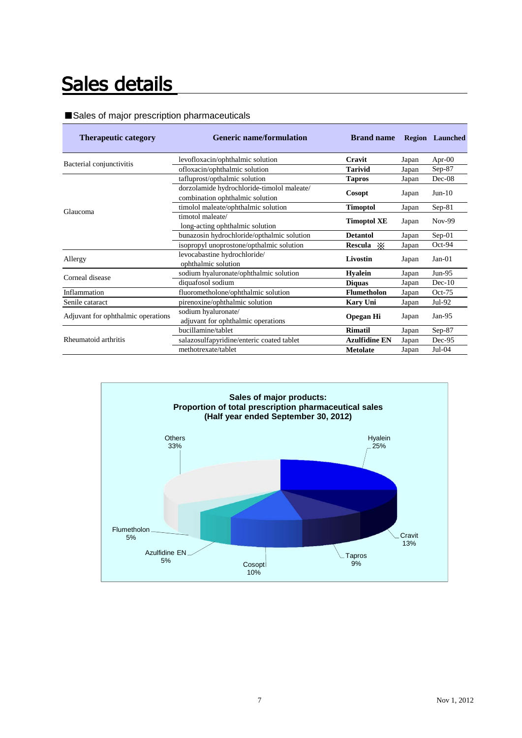## Sales details

### ■Sales of major prescription pharmaceuticals

| <b>Therapeutic category</b>        | <b>Generic name/formulation</b>                                               | <b>Brand name</b>    |       | <b>Region</b> Launched |
|------------------------------------|-------------------------------------------------------------------------------|----------------------|-------|------------------------|
| Bacterial conjunctivitis           | levofloxacin/ophthalmic solution                                              | Cravit               | Japan | Apr- $00$              |
|                                    | ofloxacin/ophthalmic solution                                                 | <b>Tarivid</b>       | Japan | $Sep-87$               |
|                                    | tafluprost/opthalmic solution                                                 | <b>Tapros</b>        | Japan | Dec-08                 |
| Glaucoma                           | dorzolamide hydrochloride-timolol maleate/<br>combination ophthalmic solution | Cosopt               | Japan | $Jun-10$               |
|                                    | timolol maleate/ophthalmic solution                                           | <b>Timoptol</b>      | Japan | $Sep-81$               |
|                                    | timotol maleate/<br>long-acting ophthalmic solution                           | <b>Timoptol XE</b>   | Japan | $Nov-99$               |
|                                    | bunazosin hydrochloride/opthalmic solution                                    | <b>Detantol</b>      | Japan | $Sep-01$               |
|                                    | isopropyl unoprostone/opthalmic solution                                      | Rescula $\mathbb{X}$ | Japan | $Oct-94$               |
| Allergy                            | levocabastine hydrochloride/<br>ophthalmic solution                           | Livostin             | Japan | $Jan-01$               |
| Corneal disease                    | sodium hyaluronate/ophthalmic solution                                        | <b>Hyalein</b>       | Japan | $Jun-95$               |
|                                    | diquafosol sodium                                                             | <b>Diquas</b>        | Japan | $Dec-10$               |
| Inflammation                       | fluorometholone/ophthalmic solution                                           | <b>Flumetholon</b>   | Japan | $Oct-75$               |
| Senile cataract                    | pirenoxine/ophthalmic solution                                                | <b>Kary Uni</b>      | Japan | Jul-92                 |
| Adjuvant for ophthalmic operations | sodium hyaluronate/<br>adjuvant for ophthalmic operations                     | <b>Opegan Hi</b>     | Japan | Jan- $95$              |
|                                    | bucillamine/tablet                                                            | <b>Rimatil</b>       | Japan | $Sep-87$               |
| Rheumatoid arthritis               | salazosulfapyridine/enteric coated tablet                                     | <b>Azulfidine EN</b> | Japan | Dec-95                 |
|                                    | methotrexate/tablet                                                           | <b>Metolate</b>      | Japan | $Jul-04$               |

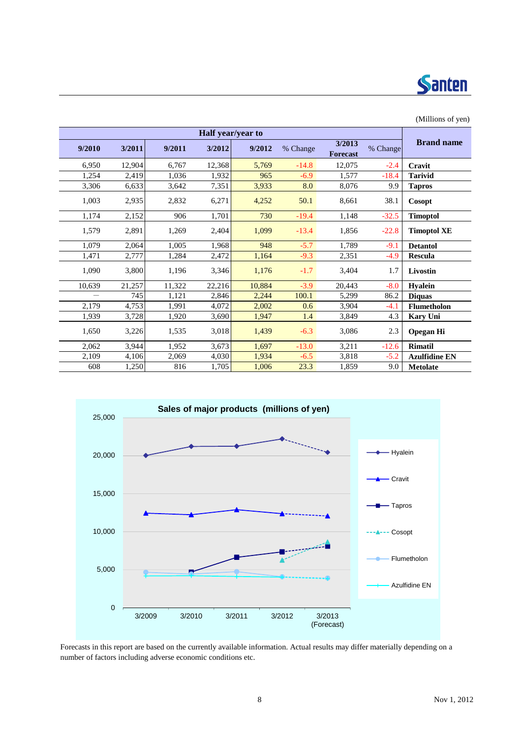

| (Millions of yen)    |          |                           |          |        |                   |        |        |        |
|----------------------|----------|---------------------------|----------|--------|-------------------|--------|--------|--------|
|                      |          |                           |          |        | Half year/year to |        |        |        |
| <b>Brand name</b>    | % Change | 3/2013<br><b>Forecast</b> | % Change | 9/2012 | 3/2012            | 9/2011 | 3/2011 | 9/2010 |
| Cravit               | $-2.4$   | 12.075                    | $-14.8$  | 5,769  | 12,368            | 6.767  | 12,904 | 6,950  |
| <b>Tarivid</b>       | $-18.4$  | 1,577                     | $-6.9$   | 965    | 1,932             | 1,036  | 2,419  | 1,254  |
| <b>Tapros</b>        | 9.9      | 8,076                     | 8.0      | 3,933  | 7,351             | 3,642  | 6,633  | 3,306  |
| Cosopt               | 38.1     | 8,661                     | 50.1     | 4,252  | 6,271             | 2,832  | 2,935  | 1,003  |
| <b>Timoptol</b>      | $-32.5$  | 1,148                     | $-19.4$  | 730    | 1,701             | 906    | 2,152  | 1,174  |
| <b>Timoptol XE</b>   | $-22.8$  | 1,856                     | $-13.4$  | 1,099  | 2,404             | 1,269  | 2,891  | 1,579  |
| <b>Detantol</b>      | $-9.1$   | 1,789                     | $-5.7$   | 948    | 1,968             | 1,005  | 2,064  | 1,079  |
| Rescula              | $-4.9$   | 2,351                     | $-9.3$   | 1,164  | 2,472             | 1,284  | 2,777  | 1,471  |
| Livostin             | 1.7      | 3,404                     | $-1.7$   | 1,176  | 3,346             | 1,196  | 3,800  | 1,090  |
| <b>Hyalein</b>       | $-8.0$   | 20,443                    | $-3.9$   | 10,884 | 22,216            | 11,322 | 21,257 | 10,639 |
| <b>Diquas</b>        | 86.2     | 5,299                     | 100.1    | 2,244  | 2,846             | 1,121  | 745    |        |
| Flumetholon          | $-4.1$   | 3,904                     | 0.6      | 2,002  | 4,072             | 1,991  | 4,753  | 2,179  |
| Kary Uni             | 4.3      | 3,849                     | 1.4      | 1,947  | 3,690             | 1,920  | 3,728  | 1,939  |
| <b>Opegan Hi</b>     | 2.3      | 3,086                     | $-6.3$   | 1,439  | 3,018             | 1,535  | 3,226  | 1,650  |
| <b>Rimatil</b>       | $-12.6$  | 3,211                     | $-13.0$  | 1,697  | 3,673             | 1,952  | 3,944  | 2,062  |
| <b>Azulfidine EN</b> | $-5.2$   | 3,818                     | $-6.5$   | 1,934  | 4,030             | 2,069  | 4,106  | 2,109  |
| <b>Metolate</b>      | 9.0      | 1,859                     | 23.3     | 1,006  | 1,705             | 816    | 1,250  | 608    |



Forecasts in this report are based on the currently available information. Actual results may differ materially depending on a number of factors including adverse economic conditions etc.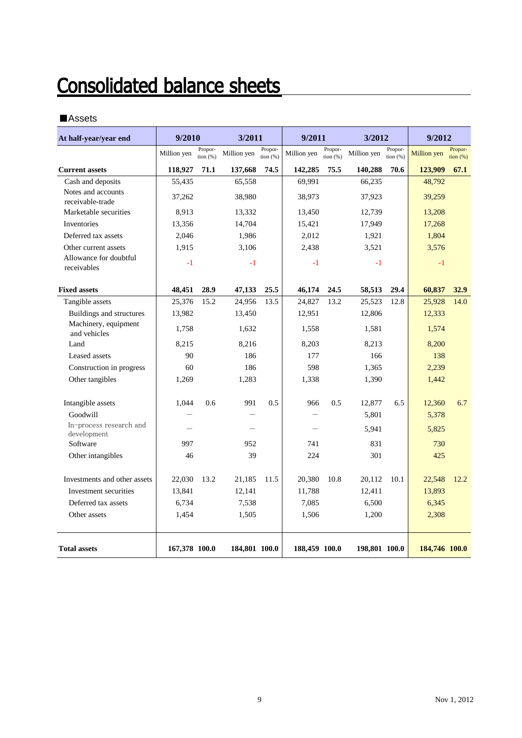## **Consolidated balance sheets**

### ■Assets

| At half-year/year end                  | 9/2010        |                        | 3/2011        |                       | 9/2011        |                        | 3/2012                               |      | 9/2012        |                       |
|----------------------------------------|---------------|------------------------|---------------|-----------------------|---------------|------------------------|--------------------------------------|------|---------------|-----------------------|
|                                        | Million yen   | Propor-<br>tion $(% )$ | Million yen   | Propor-<br>tion $(%)$ | Million yen   | Propor-<br>tion $(% )$ | Propor-<br>Million yen<br>tion $(%)$ |      | Million yen   | Propor-<br>tion $(%)$ |
| <b>Current assets</b>                  | 118,927       | 71.1                   | 137,668       | 74.5                  | 142,285       | 75.5                   | 140,288                              | 70.6 | 123,909       | 67.1                  |
| Cash and deposits                      | 55,435        |                        | 65,558        |                       | 69,991        |                        | 66,235                               |      | 48,792        |                       |
| Notes and accounts<br>receivable-trade | 37,262        |                        | 38,980        |                       | 38,973        |                        | 37,923                               |      | 39,259        |                       |
| Marketable securities                  | 8,913         |                        | 13,332        |                       | 13,450        |                        | 12,739                               |      | 13,208        |                       |
| Inventories                            | 13,356        |                        | 14,704        |                       | 15,421        |                        | 17,949                               |      | 17,268        |                       |
| Deferred tax assets                    | 2,046         |                        | 1,986         |                       | 2,012         |                        | 1,921                                |      | 1,804         |                       |
| Other current assets                   | 1,915         |                        | 3,106         |                       | 2,438         |                        | 3,521                                |      | 3,576         |                       |
| Allowance for doubtful<br>receivables  | $-1$          |                        | $-1$          |                       | $-1$          |                        | $-1$                                 |      | $-1$          |                       |
| <b>Fixed assets</b>                    | 48,451        | 28.9                   | 47,133        | 25.5                  | 46,174        | 24.5                   | 58,513                               | 29.4 | 60.837        | 32.9                  |
| Tangible assets                        | 25,376        | 15.2                   | 24,956        | 13.5                  | 24,827        | 13.2                   | 25,523                               | 12.8 | 25,928        | 14.0                  |
| Buildings and structures               | 13,982        |                        | 13,450        |                       | 12,951        |                        | 12,806                               |      | 12,333        |                       |
| Machinery, equipment<br>and vehicles   | 1,758         |                        | 1,632         |                       | 1,558         |                        | 1,581                                |      | 1,574         |                       |
| Land                                   | 8,215         |                        | 8,216         |                       | 8,203         |                        | 8,213                                |      | 8,200         |                       |
| Leased assets                          | 90            |                        | 186           |                       | 177           |                        | 166                                  |      | 138           |                       |
| Construction in progress               | 60            |                        | 186           |                       | 598           |                        | 1,365                                |      | 2,239         |                       |
| Other tangibles                        | 1,269         |                        | 1,283         |                       | 1,338         |                        | 1,390                                |      | 1,442         |                       |
| Intangible assets                      | 1,044         | 0.6                    | 991           | 0.5                   | 966           | 0.5                    | 12,877                               | 6.5  | 12,360        | 6.7                   |
| Goodwill                               |               |                        |               |                       |               |                        | 5,801                                |      | 5,378         |                       |
| In-process research and<br>development |               |                        |               |                       |               |                        | 5,941                                |      | 5,825         |                       |
| Software                               | 997           |                        | 952           |                       | 741           |                        | 831                                  |      | 730           |                       |
| Other intangibles                      | 46            |                        | 39            |                       | 224           |                        | 301                                  |      | 425           |                       |
| Investments and other assets           | 22,030        | 13.2                   | 21,185        | 11.5                  | 20,380        | 10.8                   | 20,112                               | 10.1 | 22,548        | 12.2                  |
| Investment securities                  | 13,841        |                        | 12,141        |                       | 11,788        |                        | 12,411                               |      | 13,893        |                       |
| Deferred tax assets                    | 6,734         |                        | 7,538         |                       | 7,085         |                        | 6,500                                |      | 6,345         |                       |
| Other assets                           | 1,454         |                        | 1,505         |                       | 1,506         |                        | 1,200                                |      | 2,308         |                       |
| <b>Total assets</b>                    | 167,378 100.0 |                        | 184,801 100.0 |                       | 188,459 100.0 |                        | 198,801 100.0                        |      | 184,746 100.0 |                       |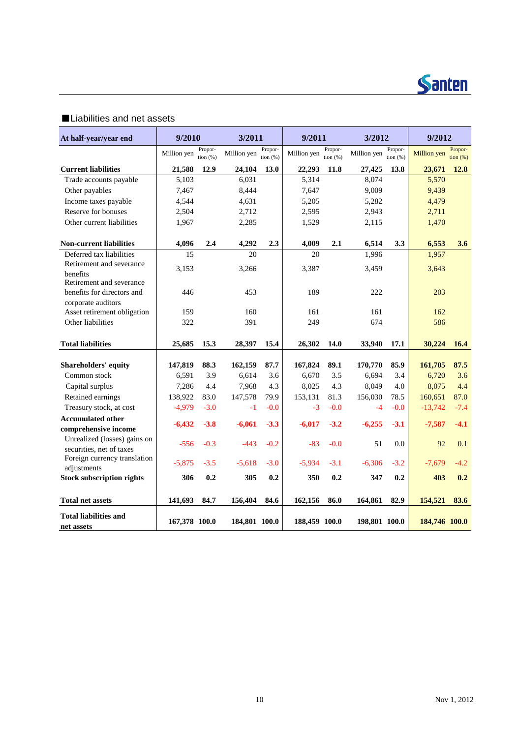

### ■Liabilities and net assets

| At half-year/year end                                  | 9/2010        |                       | 3/2011        |                       | 9/2011        |                       | 3/2012        |                       | 9/2012        |                              |
|--------------------------------------------------------|---------------|-----------------------|---------------|-----------------------|---------------|-----------------------|---------------|-----------------------|---------------|------------------------------|
|                                                        | Million yen   | Propor-<br>tion $(%)$ | Million yen   | Propor-<br>tion $(%)$ | Million yen   | Propor-<br>tion $(%)$ | Million yen   | Propor-<br>tion $(%)$ | Million yen   | Propor-<br>$\frac{1}{2}$ (%) |
| <b>Current liabilities</b>                             | 21,588        | 12.9                  | 24,104        | 13.0                  | 22,293        | 11.8                  | 27,425        | 13.8                  | 23,671        | <b>12.8</b>                  |
| Trade accounts payable                                 | 5,103         |                       | 6,031         |                       | 5,314         |                       | 8,074         |                       | 5,570         |                              |
| Other payables                                         | 7,467         |                       | 8,444         |                       | 7,647         |                       | 9,009         |                       | 9,439         |                              |
| Income taxes payable                                   | 4,544         |                       | 4,631         |                       | 5,205         |                       | 5,282         |                       | 4,479         |                              |
| Reserve for bonuses                                    | 2,504         |                       | 2,712         |                       | 2,595         |                       | 2,943         |                       | 2,711         |                              |
| Other current liabilities                              | 1,967         |                       | 2,285         |                       | 1,529         |                       | 2,115         |                       | 1,470         |                              |
| <b>Non-current liabilities</b>                         | 4,096         | 2.4                   | 4,292         | 2.3                   | 4,009         | 2.1                   | 6,514         | 3.3                   | 6,553         | 3.6                          |
| Deferred tax liabilities                               | 15            |                       | 20            |                       | 20            |                       | 1,996         |                       | 1,957         |                              |
| Retirement and severance                               | 3,153         |                       | 3,266         |                       | 3,387         |                       | 3,459         |                       | 3,643         |                              |
| benefits                                               |               |                       |               |                       |               |                       |               |                       |               |                              |
| Retirement and severance<br>benefits for directors and | 446           |                       | 453           |                       | 189           |                       | 222           |                       | 203           |                              |
| corporate auditors                                     |               |                       |               |                       |               |                       |               |                       |               |                              |
| Asset retirement obligation                            | 159           |                       | 160           |                       | 161           |                       | 161           |                       | 162           |                              |
| Other liabilities                                      | 322           |                       | 391           |                       | 249           |                       | 674           |                       | 586           |                              |
|                                                        |               |                       |               |                       |               |                       |               |                       |               |                              |
| <b>Total liabilities</b>                               | 25,685        | 15.3                  | 28,397        | 15.4                  | 26,302        | 14.0                  | 33,940        | 17.1                  | 30,224        | 16.4                         |
| <b>Shareholders' equity</b>                            | 147,819       | 88.3                  | 162,159       | 87.7                  | 167,824       | 89.1                  | 170,770       | 85.9                  | 161,705       | 87.5                         |
| Common stock                                           | 6,591         | 3.9                   | 6,614         | 3.6                   | 6,670         | 3.5                   | 6,694         | 3.4                   | 6,720         | 3.6                          |
| Capital surplus                                        | 7,286         | 4.4                   | 7,968         | 4.3                   | 8,025         | 4.3                   | 8,049         | 4.0                   | 8,075         | 4.4                          |
| Retained earnings                                      | 138,922       | 83.0                  | 147,578       | 79.9                  | 153,131       | 81.3                  | 156,030       | 78.5                  | 160,651       | 87.0                         |
| Treasury stock, at cost                                | $-4,979$      | $-3.0$                | $-1$          | $-0.0$                | $-3$          | $-0.0$                | $-4$          | $-0.0$                | $-13,742$     | $-7.4$                       |
| <b>Accumulated other</b>                               |               |                       |               |                       |               |                       |               |                       |               |                              |
| comprehensive income                                   | $-6,432$      | $-3.8$                | $-6,061$      | $-3.3$                | $-6,017$      | $-3.2$                | $-6,255$      | $-3.1$                | $-7,587$      | $-4.1$                       |
| Unrealized (losses) gains on                           | $-556$        | $-0.3$                | $-443$        | $-0.2$                | $-83$         | $-0.0$                | 51            | 0.0                   | 92            | 0.1                          |
| securities, net of taxes                               |               |                       |               |                       |               |                       |               |                       |               |                              |
| Foreign currency translation                           | $-5,875$      | $-3.5$                | $-5,618$      | $-3.0$                | $-5,934$      | $-3.1$                | $-6,306$      | $-3.2$                | $-7,679$      | $-4.2$                       |
| adjustments                                            |               |                       |               |                       |               |                       |               |                       |               |                              |
| <b>Stock subscription rights</b>                       | 306           | 0.2                   | 305           | 0.2                   | 350           | 0.2                   | 347           | 0.2                   | 403           | 0.2                          |
| <b>Total net assets</b>                                | 141,693       | 84.7                  | 156,404       | 84.6                  | 162,156       | 86.0                  | 164,861       | 82.9                  | 154,521       | 83.6                         |
| <b>Total liabilities and</b><br>net assets             | 167,378 100.0 |                       | 184,801 100.0 |                       | 188,459 100.0 |                       | 198,801 100.0 |                       | 184,746 100.0 |                              |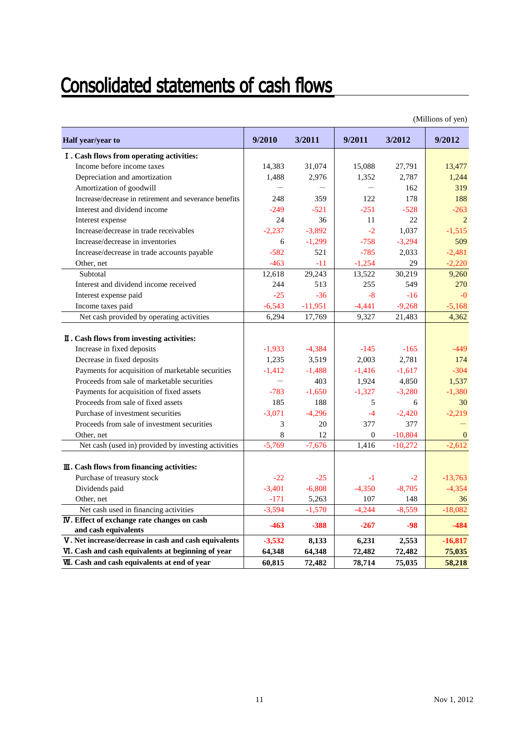## **Consolidated statements of cash flows**

|                                                                             |          |           |                |           | (Millions of yen) |
|-----------------------------------------------------------------------------|----------|-----------|----------------|-----------|-------------------|
| Half year/year to                                                           | 9/2010   | 3/2011    | 9/2011         | 3/2012    | 9/2012            |
| I. Cash flows from operating activities:                                    |          |           |                |           |                   |
| Income before income taxes                                                  | 14,383   | 31,074    | 15,088         | 27,791    | 13,477            |
| Depreciation and amortization                                               | 1,488    | 2,976     | 1,352          | 2,787     | 1,244             |
| Amortization of goodwill                                                    |          |           |                | 162       | 319               |
| Increase/decrease in retirement and severance benefits                      | 248      | 359       | 122            | 178       | 188               |
| Interest and dividend income                                                | $-249$   | $-521$    | $-251$         | $-528$    | $-263$            |
| Interest expense                                                            | 24       | 36        | 11             | 22        | 2                 |
| Increase/decrease in trade receivables                                      | $-2,237$ | $-3,892$  | $-2$           | 1,037     | $-1,515$          |
| Increase/decrease in inventories                                            | 6        | $-1,299$  | $-758$         | $-3,294$  | 509               |
| Increase/decrease in trade accounts payable                                 | $-582$   | 521       | $-785$         | 2,033     | $-2,481$          |
| Other, net                                                                  | $-463$   | $-11$     | $-1,254$       | 29        | $-2,220$          |
| Subtotal                                                                    | 12,618   | 29,243    | 13,522         | 30,219    | 9,260             |
| Interest and dividend income received                                       | 244      | 513       | 255            | 549       | 270               |
| Interest expense paid                                                       | $-25$    | $-36$     | $-8$           | $-16$     | $-0$              |
| Income taxes paid                                                           | $-6,543$ | $-11,951$ | $-4,441$       | $-9,268$  | $-5,168$          |
| Net cash provided by operating activities                                   | 6,294    | 17,769    | 9,327          | 21,483    | 4,362             |
| II. Cash flows from investing activities:                                   |          |           |                |           |                   |
| Increase in fixed deposits                                                  | $-1,933$ | $-4,384$  | $-145$         | $-165$    | $-449$            |
| Decrease in fixed deposits                                                  | 1,235    | 3,519     | 2,003          | 2,781     | 174               |
| Payments for acquisition of marketable securities                           | $-1,412$ | $-1,488$  | $-1,416$       | $-1,617$  | $-304$            |
| Proceeds from sale of marketable securities                                 |          | 403       | 1,924          | 4,850     | 1,537             |
| Payments for acquisition of fixed assets                                    | $-783$   | $-1,650$  | $-1,327$       | $-3,280$  | $-1,380$          |
| Proceeds from sale of fixed assets                                          | 185      | 188       | 5              | 6         | 30                |
| Purchase of investment securities                                           | $-3,071$ | $-4,296$  | $-4$           | $-2,420$  | $-2,219$          |
| Proceeds from sale of investment securities                                 | 3        | 20        | 377            | 377       |                   |
| Other, net                                                                  | 8        | 12        | $\overline{0}$ | $-10,804$ | $\mathbf{0}$      |
| Net cash (used in) provided by investing activities                         | $-5,769$ | $-7,676$  | 1,416          | $-10,272$ | $-2,612$          |
| III. Cash flows from financing activities:                                  |          |           |                |           |                   |
| Purchase of treasury stock                                                  | $-22$    | $-25$     | $-1$           | $-2$      | $-13,763$         |
| Dividends paid                                                              | $-3,401$ | $-6,808$  | $-4,350$       | $-8,705$  | $-4,354$          |
| Other, net                                                                  | $-171$   | 5,263     | 107            | 148       | 36                |
| Net cash used in financing activities                                       | $-3,594$ | $-1,570$  | $-4,244$       | $-8,559$  | $-18,082$         |
| <b>IV</b> . Effect of exchange rate changes on cash<br>and cash equivalents | $-463$   | $-388$    | $-267$         | -98       | $-484$            |
| V. Net increase/decrease in cash and cash equivalents                       | $-3,532$ | 8,133     | 6,231          | 2,553     | $-16,817$         |
| VI. Cash and cash equivalents at beginning of year                          | 64,348   | 64,348    | 72,482         | 72,482    | 75,035            |
| <b>VII.</b> Cash and cash equivalents at end of year                        | 60,815   | 72,482    | 78,714         | 75,035    | 58,218            |

(Millions of yen)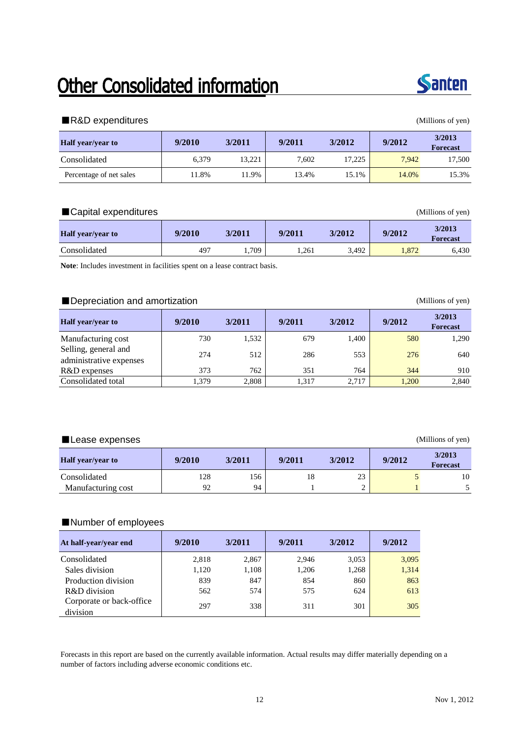## Other Consolidated information



### ■R&D expenditures (Millions of yen)

| <b>Half</b> year/year to | 9/2010 | 3/2011 | 9/2011 | 3/2012 | 9/2012 | 3/2013<br><b>Forecast</b> |
|--------------------------|--------|--------|--------|--------|--------|---------------------------|
| Consolidated             | 6.379  | 13.221 | 7.602  | 17.225 | 7.942  | 17.500                    |
| Percentage of net sales  | 1.8%   | 11.9%  | 13.4%  | 15.1%  | 14.0%  | 15.3%                     |

### ■Capital expenditures (Millions of yen)

| <b>Half</b> vear/vear to | 9/2010 | 3/2011 | 9/2011 | 3/2012 | 9/2012 | 3/2013<br><b>Forecast</b> |
|--------------------------|--------|--------|--------|--------|--------|---------------------------|
| Consolidated             | 497    | .709   | 1,261  | 3,492  | 1,872  | 6,430                     |

**Note**: Includes investment in facilities spent on a lease contract basis.

### ■Depreciation and amortization (Millions of yen)

| <b>Half</b> year/year to                        | 9/2010 | 3/2011 | 9/2011 | 3/2012 | 9/2012 | 3/2013<br><b>Forecast</b> |
|-------------------------------------------------|--------|--------|--------|--------|--------|---------------------------|
| Manufacturing cost                              | 730    | 1,532  | 679    | 1,400  | 580    | 1,290                     |
| Selling, general and<br>administrative expenses | 274    | 512    | 286    | 553    | 276    | 640                       |
| R&D expenses                                    | 373    | 762    | 351    | 764    | 344    | 910                       |
| Consolidated total                              | 1,379  | 2,808  | 1,317  | 2,717  | 1.200  | 2,840                     |

### ■Lease expenses (Millions of yen)

| <b>Half</b> year/year to | 9/2010 | 3/2011 | 9/2011 | 3/2012 | 9/2012 | 3/2013<br><b>Forecast</b> |
|--------------------------|--------|--------|--------|--------|--------|---------------------------|
| Consolidated             | 128    | 156    | 18     | 23     |        | 10                        |
| Manufacturing cost       | 92     | 94     |        |        |        |                           |

### ■Number of employees

| At half-year/year end                | 9/2010 | 3/2011 | 9/2011 | 3/2012 | 9/2012 |
|--------------------------------------|--------|--------|--------|--------|--------|
| Consolidated                         | 2,818  | 2,867  | 2.946  | 3,053  | 3,095  |
| Sales division                       | 1,120  | 1,108  | 1,206  | 1,268  | 1,314  |
| Production division                  | 839    | 847    | 854    | 860    | 863    |
| R&D division                         | 562    | 574    | 575    | 624    | 613    |
| Corporate or back-office<br>division | 297    | 338    | 311    | 301    | 305    |

Forecasts in this report are based on the currently available information. Actual results may differ materially depending on a number of factors including adverse economic conditions etc.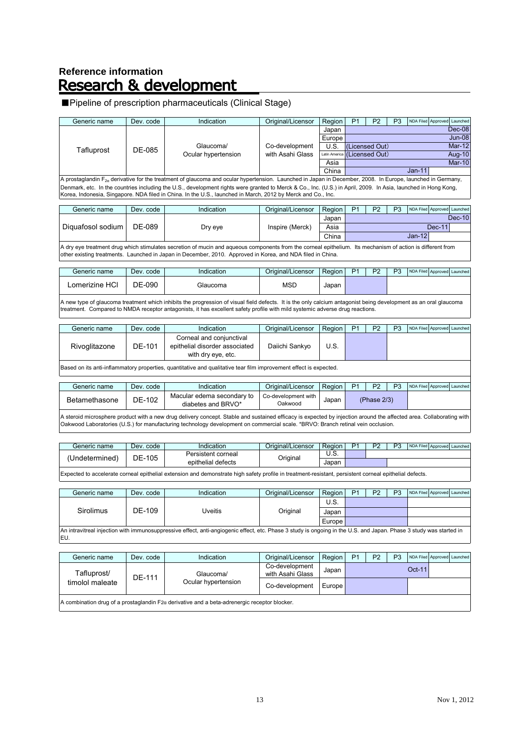# Reference information<br>**Research & development**

### ■Pipeline of prescription pharmaceuticals (Clinical Stage)

| Generic name                                                                                                 | Dev. code | Indication                                                                                                                                                      | Original/Licensor | Region                       | P <sub>1</sub> | P <sub>2</sub> | P <sub>3</sub> |  | NDA Filed Approved Launched |          |
|--------------------------------------------------------------------------------------------------------------|-----------|-----------------------------------------------------------------------------------------------------------------------------------------------------------------|-------------------|------------------------------|----------------|----------------|----------------|--|-----------------------------|----------|
|                                                                                                              |           |                                                                                                                                                                 |                   | Japan                        |                |                |                |  |                             | Dec-08   |
|                                                                                                              |           |                                                                                                                                                                 |                   | Europe <sup>l</sup>          |                |                |                |  |                             | $Jun-08$ |
| Tafluprost                                                                                                   | DF-085    | Glaucoma/                                                                                                                                                       | Co-development    | U.S.                         |                | (Licensed Out) |                |  |                             | $Mar-12$ |
|                                                                                                              |           | Ocular hypertension                                                                                                                                             | with Asahi Glass  | Latin America (Licensed Out) |                |                |                |  |                             | Aug-10   |
|                                                                                                              |           |                                                                                                                                                                 |                   | Asia                         |                | $Jan-11$       |                |  |                             | $Mar-10$ |
|                                                                                                              |           |                                                                                                                                                                 |                   | China                        |                |                |                |  |                             |          |
|                                                                                                              |           | A prostaglandin $F_{2a}$ derivative for the treatment of glaucoma and ocular hypertension. Launched in Japan in December, 2008. In Europe, launched in Germany, |                   |                              |                |                |                |  |                             |          |
|                                                                                                              |           | Denmark, etc. In the countries including the U.S., development rights were granted to Merck & Co., Inc. (U.S.) in April, 2009. In Asia, launched in Hong Kong,  |                   |                              |                |                |                |  |                             |          |
| Korea, Indonesia, Singapore. NDA filed in China. In the U.S., launched in March, 2012 by Merck and Co., Inc. |           |                                                                                                                                                                 |                   |                              |                |                |                |  |                             |          |
|                                                                                                              |           |                                                                                                                                                                 |                   |                              |                |                |                |  |                             |          |

| Generic name                                                                                                                                                                                                                                                             | Dev. code | Indication | Original/Licensor | Region | P <sub>1</sub> | P <sub>2</sub> | P3 |          |  | NDA Filed Approved Launched |
|--------------------------------------------------------------------------------------------------------------------------------------------------------------------------------------------------------------------------------------------------------------------------|-----------|------------|-------------------|--------|----------------|----------------|----|----------|--|-----------------------------|
|                                                                                                                                                                                                                                                                          |           |            |                   | Japan  |                |                |    |          |  | $Dec-10$                    |
| Diguafosol sodium                                                                                                                                                                                                                                                        | DE-089    | Dry eye    | Inspire (Merck)   | Asia   | $Dec-11$       |                |    |          |  |                             |
|                                                                                                                                                                                                                                                                          |           |            |                   | China  |                |                |    | $Jan-12$ |  |                             |
| A dry eye treatment drug which stimulates secretion of mucin and aqueous components from the corneal epithelium. Its mechanism of action is different from<br>other existing treatments. Launched in Japan in December, 2010. Approved in Korea, and NDA filed in China. |           |            |                   |        |                |                |    |          |  |                             |

| Generic name      | Dev.<br>. code | <b>Indication</b> | Original/Licensor | Region | D <sub>4</sub> | פם | <b>D</b> <sub>2</sub> | NDA Filed Approved Launched |  |
|-------------------|----------------|-------------------|-------------------|--------|----------------|----|-----------------------|-----------------------------|--|
| HCI<br>Lomerizine | DE-090         | <b>Glaucoma</b>   | <b>MSD</b>        | Japan  |                |    |                       |                             |  |
|                   |                |                   |                   |        |                |    |                       |                             |  |

A new type of glaucoma treatment which inhibits the progression of visual field defects. It is the only calcium antagonist being development as an oral glaucoma treatment. Compared to NMDA receptor antagonists, it has excellent safety profile with mild systemic adverse drug reactions.

| Generic name                                                                                                      | Dev. code | Indication                                                                       | Original/Licensor | Region I | P <sub>1</sub> | P <sub>2</sub> | P3 | NDA Filed Approved Launched |  |  |  |
|-------------------------------------------------------------------------------------------------------------------|-----------|----------------------------------------------------------------------------------|-------------------|----------|----------------|----------------|----|-----------------------------|--|--|--|
| Rivoglitazone                                                                                                     | DE-101    | Corneal and conjunctival<br>epithelial disorder associated<br>with dry eye, etc. | Daiichi Sankyo    | U.S.     |                |                |    |                             |  |  |  |
| Based on its anti-inflammatory properties, quantitative and qualitative tear film improvement effect is expected. |           |                                                                                  |                   |          |                |                |    |                             |  |  |  |

| Generic name  | Dev. code | Indication                                       | Original/Licensor              | <b>Region</b> | פם          | <b>D</b> <sub>2</sub> | NDA Filed Approved Launched |  |
|---------------|-----------|--------------------------------------------------|--------------------------------|---------------|-------------|-----------------------|-----------------------------|--|
| Betamethasone | DE-102    | Macular edema secondary to<br>diabetes and BRVO* | Co-development with<br>Oakwood | Japar         | (Phase 2/3) |                       |                             |  |

A steroid microsphere product with a new drug delivery concept. Stable and sustained efficacy is expected by injection around the affected area. Collaborating with Oakwood Laboratories (U.S.) for manufacturing technology development on commercial scale. \*BRVO: Branch retinal vein occlusion.

| Generic name   | Dev. code  | 'ndication         | Original/Licensor | Region | D <sub>1</sub> | פם | D2 | NDA Filed Approved Launched |  |
|----------------|------------|--------------------|-------------------|--------|----------------|----|----|-----------------------------|--|
| (Undetermined) | .105<br>DE | Persistent corneal |                   | ບ.໐.   |                |    |    |                             |  |
|                |            | epithelial defects | Original          | Japar  |                |    |    |                             |  |

Expected to accelerate corneal epithelial extension and demonstrate high safety profile in treatment-resistant, persistent corneal epithelial defects.

| Generic name     | Dev. code | Indication                                                                                                                                                         | Original/Licensor | Region I | P <sub>1</sub> | P <sub>2</sub> | P3 | NDA Filed Approved Launched |  |
|------------------|-----------|--------------------------------------------------------------------------------------------------------------------------------------------------------------------|-------------------|----------|----------------|----------------|----|-----------------------------|--|
|                  |           |                                                                                                                                                                    |                   | U.S.     |                |                |    |                             |  |
| <b>Sirolimus</b> | DE-109    | ∪veitis                                                                                                                                                            | Original          | Japan    |                |                |    |                             |  |
|                  |           |                                                                                                                                                                    |                   | Europe l |                |                |    |                             |  |
|                  |           | An intravitreal injection with immunosuppressive effect, anti-angiogenic effect, etc. Phase 3 study is ongoing in the U.S. and Japan. Phase 3 study was started in |                   |          |                |                |    |                             |  |

EU.

| Generic name                                                                                            | Dev. code | Indication          | Original/Licensor | Region   | P <sub>1</sub> | P <sub>2</sub> | P <sub>3</sub> |        | NDA Filed Approved Launched |  |  |
|---------------------------------------------------------------------------------------------------------|-----------|---------------------|-------------------|----------|----------------|----------------|----------------|--------|-----------------------------|--|--|
|                                                                                                         |           |                     | Co-development    | Japan    |                |                |                | Oct-11 |                             |  |  |
| Tafluprost/                                                                                             |           | Glaucoma/           | with Asahi Glass  |          |                |                |                |        |                             |  |  |
| timolol maleate                                                                                         | DE-111    | Ocular hypertension | Co-development    | Europe l |                |                |                |        |                             |  |  |
| $ A$ combination drug of a prostaglandin F2 $\alpha$ derivative and a beta-adrenergic receptor blocker. |           |                     |                   |          |                |                |                |        |                             |  |  |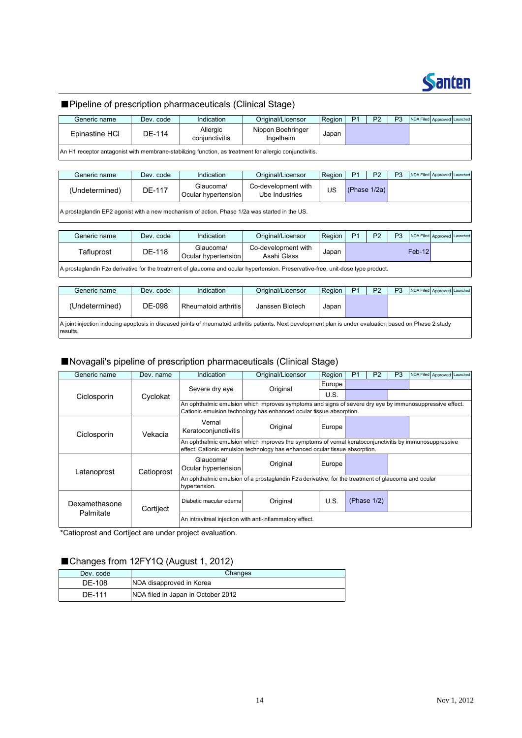

### ■Pipeline of prescription pharmaceuticals (Clinical Stage)

| Generic name   | Dev. code | Indication                 | Original/Licensor                                                                                     | Region | P <sub>1</sub> | P <sub>2</sub> | P3 | NDA Filed Approved Launched |  |
|----------------|-----------|----------------------------|-------------------------------------------------------------------------------------------------------|--------|----------------|----------------|----|-----------------------------|--|
| Epinastine HCI | DE-114    | Allergic<br>conjunctivitis | Nippon Boehringer<br>Ingelheim                                                                        | Japan  |                |                |    |                             |  |
|                |           |                            | An H1 receptor antagonist with membrane-stabilizing function as treatment for allergic conjunctivitis |        |                |                |    |                             |  |

An H1 receptor antagonist with membrane-stabilizing function, as treatment for allergic conjunctivitis.

| Generic name   | Dev. code | Indication                       | Original/Licensor                     | Region | <b>P1</b>    | P <sub>2</sub> | P <sub>3</sub> | NDA Filed Approved Launched |  |
|----------------|-----------|----------------------------------|---------------------------------------|--------|--------------|----------------|----------------|-----------------------------|--|
| (Undetermined) | DE-117    | Glaucoma/<br>Ocular hypertension | Co-development with<br>Ube Industries | US     | (Phase 1/2a) |                |                |                             |  |
|                |           |                                  |                                       |        |              |                |                |                             |  |

A prostaglandin EP2 agonist with a new mechanism of action. Phase 1/2a was started in the US.

| Generic name | Dev. code | Indication                       | Original/Licensor                  | Region | P <sub>1</sub> | P <sub>2</sub> | P <sub>3</sub> | NDA Filed Approved Launched |  |
|--------------|-----------|----------------------------------|------------------------------------|--------|----------------|----------------|----------------|-----------------------------|--|
| Tafluprost   | DE-118    | Glaucoma/<br>Ocular hypertension | Co-development with<br>Asahi Glass | Japan  |                |                |                | $Feb-12$                    |  |
|              |           |                                  |                                    |        |                |                |                |                             |  |

A prostaglandin F2a derivative for the treatment of glaucoma and ocular hypertension. Preservative-free, unit-dose type product.

| Generic name                                                                                                                                                           | Dev. code | Indication           | Original/Licensor | P <sub>2</sub> | P3 | NDA Filed Approved Launched |  |  |  |  |
|------------------------------------------------------------------------------------------------------------------------------------------------------------------------|-----------|----------------------|-------------------|----------------|----|-----------------------------|--|--|--|--|
| (Undetermined)                                                                                                                                                         | DE-098    | Rheumatoid arthritis | Janssen Biotech   | Japan          |    |                             |  |  |  |  |
| A joint injection inducing apoptosis in diseased joints of rheumatoid arthritis patients. Next development plan is under evaluation based on Phase 2 study<br>results. |           |                      |                   |                |    |                             |  |  |  |  |

### ■Novagali's pipeline of prescription pharmaceuticals (Clinical Stage)

| Generic name  | Dev. name  | Indication                                                                                                                                                                            | P <sub>2</sub>                                                                                              | P <sub>3</sub>      | NDA Filed Approved Launched |                |  |  |  |  |  |  |
|---------------|------------|---------------------------------------------------------------------------------------------------------------------------------------------------------------------------------------|-------------------------------------------------------------------------------------------------------------|---------------------|-----------------------------|----------------|--|--|--|--|--|--|
|               |            | Severe dry eve                                                                                                                                                                        | Original                                                                                                    | Europe              |                             |                |  |  |  |  |  |  |
| Ciclosporin   | Cyclokat   |                                                                                                                                                                                       |                                                                                                             | U.S.                |                             |                |  |  |  |  |  |  |
|               |            |                                                                                                                                                                                       | An ophthalmic emulsion which improves symptoms and signs of severe dry eye by immunosuppressive effect.     |                     |                             |                |  |  |  |  |  |  |
|               |            |                                                                                                                                                                                       | Cationic emulsion technology has enhanced ocular tissue absorption.                                         |                     |                             |                |  |  |  |  |  |  |
| Ciclosporin   | Vekacia    | Vernal<br>Keratoconjunctivitis                                                                                                                                                        | Original                                                                                                    | Europe              |                             |                |  |  |  |  |  |  |
|               |            | An ophthalmic emulsion which improves the symptoms of vernal keratoconjunctivitis by immunosuppressive<br>effect. Cationic emulsion technology has enhanced ocular tissue absorption. |                                                                                                             |                     |                             |                |  |  |  |  |  |  |
| Latanoprost   | Catioprost | Glaucoma/<br>Ocular hypertension                                                                                                                                                      | Original                                                                                                    | Europe <sup>1</sup> |                             |                |  |  |  |  |  |  |
|               |            | hypertension.                                                                                                                                                                         | An ophthalmic emulsion of a prostaglandin $F_2 \alpha$ derivative, for the treatment of glaucoma and ocular |                     |                             |                |  |  |  |  |  |  |
| Dexamethasone | Cortiject  | Diabetic macular edema                                                                                                                                                                | Original                                                                                                    | U.S.                |                             | (Phase $1/2$ ) |  |  |  |  |  |  |
| Palmitate     |            | An intravitreal injection with anti-inflammatory effect.                                                                                                                              |                                                                                                             |                     |                             |                |  |  |  |  |  |  |

\*Catioprost and Cortiject are under project evaluation.

### ■Changes from 12FY1Q (August 1, 2012)

| Dev. code | Changes                            |
|-----------|------------------------------------|
| DE-108    | NDA disapproved in Korea           |
| DF-111    | NDA filed in Japan in October 2012 |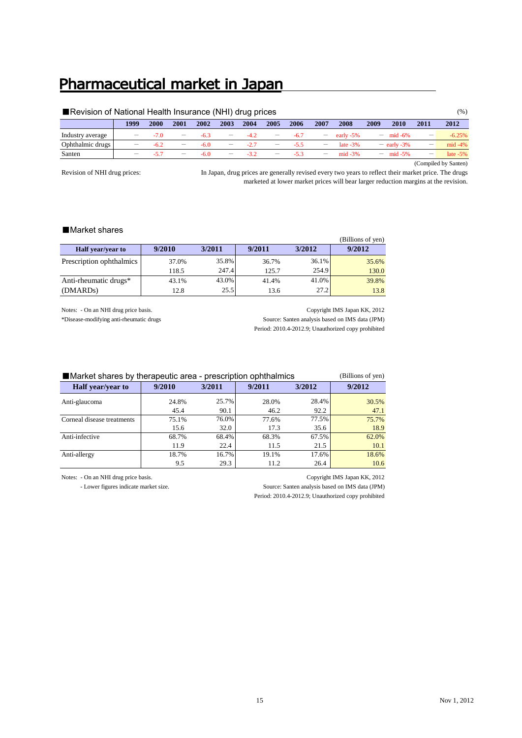## Pharmaceutical market in Japan

| Revision of National Health Insurance (NHI) drug prices |      |        |                          |        |      |        |                          |        |                          |             |      |                     |      | (%)                  |
|---------------------------------------------------------|------|--------|--------------------------|--------|------|--------|--------------------------|--------|--------------------------|-------------|------|---------------------|------|----------------------|
|                                                         | 1999 | 2000   | 2001                     | 2002   | 2003 | 2004   | 2005                     | 2006   | 2007                     | 2008        | 2009 | 2010                | 2011 | 2012                 |
| Industry average                                        |      | -70    | $\overline{\phantom{a}}$ | $-6.3$ |      |        | $\qquad \qquad$          | $-6.7$ | $-$                      | early -5%   |      | $=$ mid -6%         | —    | $-6.25%$             |
| Ophthalmic drugs                                        |      | $-6.2$ |                          | $-6.0$ |      | $-2.7$ | $\overline{\phantom{0}}$ | $-55$  | $\overline{\phantom{0}}$ | late $-3\%$ |      | $=$ early -3%       | —    | $mid -4%$            |
| Santen                                                  |      | -57    |                          | $-6.0$ | —    | $-3.2$ | $\overline{\phantom{m}}$ | $-53$  | $\overline{\phantom{0}}$ | $mid -3%$   |      | $- \text{mid} -5\%$ | —    | late $-5\%$          |
|                                                         |      |        |                          |        |      |        |                          |        |                          |             |      |                     |      | (Compiled by Santen) |

Revision of NHI drug prices:

In Japan, drug prices are generally revised every two years to reflect their market price. The drugs marketed at lower market prices will bear larger reduction margins at the revision.

### ■Market shares

|                          |        |        |        |        | (Billions of yen) |
|--------------------------|--------|--------|--------|--------|-------------------|
| <b>Half</b> year/year to | 9/2010 | 3/2011 | 9/2011 | 3/2012 | 9/2012            |
| Prescription ophthalmics | 37.0%  | 35.8%  | 36.7%  | 36.1%  | 35.6%             |
|                          | 118.5  | 247.4  | 125.7  | 254.9  | 130.0             |
| Anti-rheumatic drugs*    | 43.1%  | 43.0%  | 41.4%  | 41.0%  | 39.8%             |
| (DMARD <sub>s</sub> )    | 12.8   | 25.5   | 13.6   | 27.2   | 13.8              |

Notes: - On an NHI drug price basis. Copyright IMS Japan KK, 2012

\*Disease-modifying anti-rheumatic drugs Source: Santen analysis based on IMS data (JPM) Period: 2010.4-2012.9; Unauthorized copy prohibited

| ■ Market shares by therapeutic area - prescription ophthalmics | (Billions of yen) |        |       |       |       |
|----------------------------------------------------------------|-------------------|--------|-------|-------|-------|
| <b>Half</b> year/year to                                       | 9/2010            | 9/2012 |       |       |       |
| Anti-glaucoma                                                  | 24.8%             | 25.7%  | 28.0% | 28.4% | 30.5% |
|                                                                | 45.4              | 90.1   | 46.2  | 92.2  | 47.1  |
| Corneal disease treatments                                     | 75.1%             | 76.0%  | 77.6% | 77.5% | 75.7% |
|                                                                | 15.6              | 32.0   | 17.3  | 35.6  | 18.9  |
| Anti-infective                                                 | 68.7%             | 68.4%  | 68.3% | 67.5% | 62.0% |
|                                                                | 11.9              | 22.4   | 11.5  | 21.5  | 10.1  |
| Anti-allergy                                                   | 18.7%             | 16.7%  | 19.1% | 17.6% | 18.6% |
|                                                                | 9.5               | 29.3   | 11.2  | 26.4  | 10.6  |

- Lower figures indicate market size. Source: Santen analysis based on IMS data (JPM)

Notes: - On an NHI drug price basis. Copyright IMS Japan KK, 2012

Period: 2010.4-2012.9; Unauthorized copy prohibited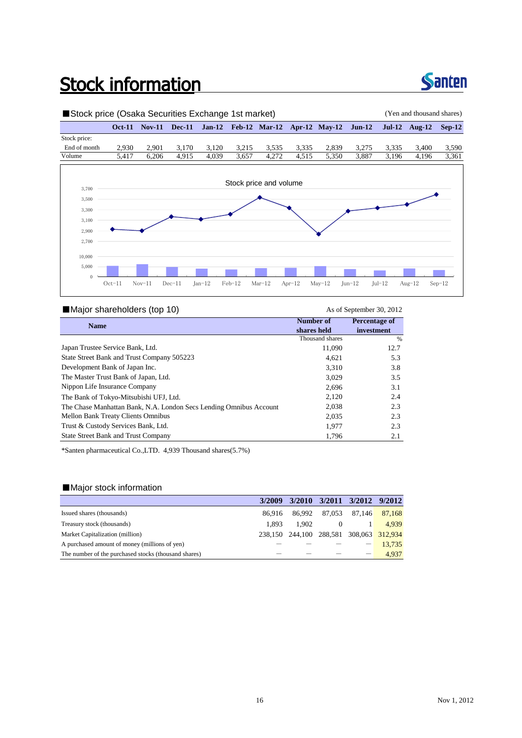## **Stock information**



### ■Stock price (Osaka Securities Exchange 1st market) (Yen and thousand shares) **Oct-11 Nov-11 Dec-11 Jan-12 Feb-12 Mar-12 Apr-12 May-12 Jun-12 Jul-12 Aug-12 Sep-12** Stock price: End of month 2,930 2,901 3,170 3,120 3,215 3,535 3,335 2,839 3,275 3,335 3,400 3,590 Volume 5,417 6,206 4,915 4,039 3,657 4,272 4,515 5,350 3,887 3,196 4,196 3,361 2,700 2,900 3,100 3,300 3,500 3,700 Stock price and volume  $\theta$ 5,000 10,000 Oct-11 Nov-11 Dec-11 Jan-12 Feb-12 Mar-12 Apr-12 May-12 Jun-12 Jul-12 Aug-12 Sep-12

### ■Major shareholders (top 10) As of September 30, 2012

| <b>Name</b>                                                        | Number of       | Percentage of |
|--------------------------------------------------------------------|-----------------|---------------|
|                                                                    | shares held     | investment    |
|                                                                    | Thousand shares | %             |
| Japan Trustee Service Bank, Ltd.                                   | 11,090          | 12.7          |
| State Street Bank and Trust Company 505223                         | 4.621           | 5.3           |
| Development Bank of Japan Inc.                                     | 3,310           | 3.8           |
| The Master Trust Bank of Japan, Ltd.                               | 3,029           | 3.5           |
| Nippon Life Insurance Company                                      | 2,696           | 3.1           |
| The Bank of Tokyo-Mitsubishi UFJ, Ltd.                             | 2,120           | 2.4           |
| The Chase Manhattan Bank, N.A. London Secs Lending Omnibus Account | 2,038           | 2.3           |
| Mellon Bank Treaty Clients Omnibus                                 | 2,035           | 2.3           |
| Trust & Custody Services Bank, Ltd.                                | 1.977           | 2.3           |
| <b>State Street Bank and Trust Company</b>                         | 1.796           | 2.1           |
|                                                                    |                 |               |

\*Santen pharmaceutical Co.,LTD. 4,939 Thousand shares(5.7%)

### ■Major stock information

|                                                      | 3/2009 |                                         | 3/2010 3/2011 3/2012 9/2012 |               |
|------------------------------------------------------|--------|-----------------------------------------|-----------------------------|---------------|
| Issued shares (thousands)                            | 86.916 | 86.992                                  | 87.053                      | 87,146 87,168 |
| Treasury stock (thousands)                           | 1.893  | 1.902                                   | $\theta$                    | 4,939         |
| Market Capitalization (million)                      |        | 238,150 244,100 288,581 308,063 312,934 |                             |               |
| A purchased amount of money (millions of yen)        |        |                                         |                             | 13.735        |
| The number of the purchased stocks (thousand shares) |        |                                         |                             | 4.937         |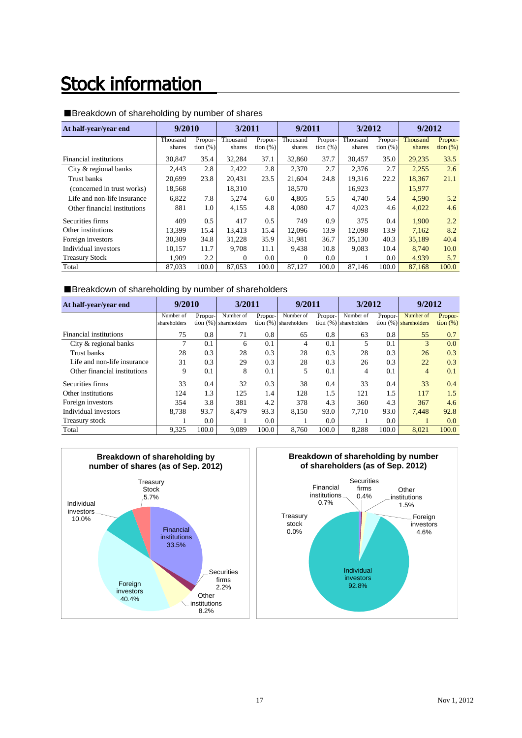## **Stock information**

| At half-year/year end        | 9/2010             |                        | 3/2011             |                        | 9/2011             |                        | 3/2012             |                        | 9/2012             |                              |
|------------------------------|--------------------|------------------------|--------------------|------------------------|--------------------|------------------------|--------------------|------------------------|--------------------|------------------------------|
|                              | Thousand<br>shares | Propor-<br>tion $(\%)$ | Thousand<br>shares | Propor-<br>tion $(\%)$ | Thousand<br>shares | Propor-<br>tion $(\%)$ | Thousand<br>shares | Propor-<br>tion $(\%)$ | Thousand<br>shares | Propor-<br>$\frac{1}{2}$ (%) |
| Financial institutions       | 30.847             | 35.4                   | 32,284             | 37.1                   | 32,860             | 37.7                   | 30.457             | 35.0                   | 29,235             | 33.5                         |
| City & regional banks        | 2.443              | 2.8                    | 2,422              | 2.8                    | 2,370              | 2.7                    | 2.376              | 2.7                    | 2,255              | 2.6                          |
| Trust banks                  | 20,699             | 23.8                   | 20.431             | 23.5                   | 21,604             | 24.8                   | 19.316             | 22.2                   | 18.367             | 21.1                         |
| (concerned in trust works)   | 18,568             |                        | 18,310             |                        | 18,570             |                        | 16,923             |                        | 15,977             |                              |
| Life and non-life insurance  | 6,822              | 7.8                    | 5,274              | 6.0                    | 4.805              | 5.5                    | 4.740              | 5.4                    | 4,590              | 5.2                          |
| Other financial institutions | 881                | 1.0                    | 4,155              | 4.8                    | 4,080              | 4.7                    | 4.023              | 4.6                    | 4,022              | 4.6                          |
| Securities firms             | 409                | 0.5                    | 417                | 0.5                    | 749                | 0.9                    | 375                | 0.4                    | 1,900              | 2.2                          |
| Other institutions           | 13.399             | 15.4                   | 13.413             | 15.4                   | 12.096             | 13.9                   | 12,098             | 13.9                   | 7.162              | 8.2                          |
| Foreign investors            | 30,309             | 34.8                   | 31,228             | 35.9                   | 31.981             | 36.7                   | 35,130             | 40.3                   | 35,189             | 40.4                         |
| Individual investors         | 10.157             | 11.7                   | 9,708              | 11.1                   | 9.438              | 10.8                   | 9.083              | 10.4                   | 8.740              | 10.0                         |
| <b>Treasury Stock</b>        | 1.909              | 2.2                    | $\mathbf{0}$       | 0.0                    | 0                  | 0.0                    |                    | 0.0                    | 4,939              | 5.7                          |
| Total                        | 87.033             | 100.0                  | 87,053             | 100.0                  | 87.127             | 100.0                  | 87.146             | 100.0                  | 87,168             | 100.0                        |

### ■Breakdown of shareholding by number of shares

### ■Breakdown of shareholding by number of shareholders

| At half-year/year end        | 9/2010       |         | 3/2011                  |         | 9/2011                   |         | 3/2012                  |         | 9/2012                   |                   |
|------------------------------|--------------|---------|-------------------------|---------|--------------------------|---------|-------------------------|---------|--------------------------|-------------------|
|                              | Number of    | Propor- | Number of               | Propor- | Number of                | Propor- | Number of               | Propor- | Number of                | Propor-           |
|                              | shareholders |         | tion $(%)$ shareholders |         | tion $(\%)$ shareholders |         | tion $(%)$ shareholders |         | tion $(\%)$ shareholders | $\frac{1}{2}$ (%) |
| Financial institutions       | 75           | 0.8     | 71                      | 0.8     | 65                       | 0.8     | 63                      | 0.8     | 55                       | 0.7               |
| City & regional banks        | 7            | 0.1     | 6                       | 0.1     | 4                        | 0.1     |                         | 0.1     | 3                        | 0.0               |
| Trust banks                  | 28           | 0.3     | 28                      | 0.3     | 28                       | 0.3     | 28                      | 0.3     | 26                       | 0.3               |
| Life and non-life insurance  | 31           | 0.3     | 29                      | 0.3     | 28                       | 0.3     | 26                      | 0.3     | 22                       | 0.3               |
| Other financial institutions | 9            | 0.1     | 8                       | 0.1     | 5                        | 0.1     | 4                       | 0.1     | $\overline{4}$           | 0.1               |
| Securities firms             | 33           | 0.4     | 32                      | 0.3     | 38                       | 0.4     | 33                      | 0.4     | 33                       | 0.4               |
| Other institutions           | 124          | 1.3     | 125                     | 1.4     | 128                      | 1.5     | 121                     | 1.5     | 117                      | 1.5               |
| Foreign investors            | 354          | 3.8     | 381                     | 4.2     | 378                      | 4.3     | 360                     | 4.3     | 367                      | 4.6               |
| Individual investors         | 8.738        | 93.7    | 8,479                   | 93.3    | 8.150                    | 93.0    | 7.710                   | 93.0    | 7,448                    | 92.8              |
| Treasury stock               |              | $0.0\,$ |                         | 0.0     |                          | 0.0     |                         | 0.0     |                          | 0.0               |
| Total                        | 9.325        | 100.0   | 9,089                   | 100.0   | 8.760                    | 100.0   | 8.288                   | 100.0   | 8.021                    | 100.0             |



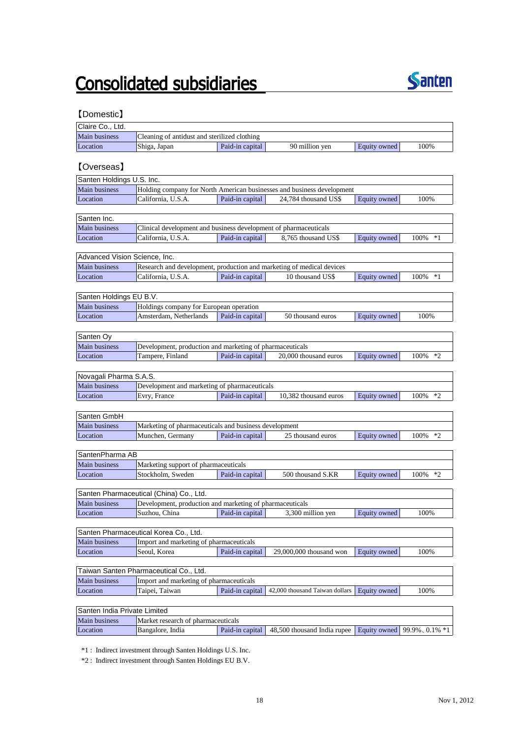## **Consolidated subsidiaries**



### 【Domestic】

| Claire Co., Ltd.              |                                                                       |                 |                                                                        |                     |                       |
|-------------------------------|-----------------------------------------------------------------------|-----------------|------------------------------------------------------------------------|---------------------|-----------------------|
| Main business                 | Cleaning of antidust and sterilized clothing                          |                 |                                                                        |                     |                       |
| Location                      | Shiga, Japan                                                          | Paid-in capital | 90 million yen                                                         | <b>Equity owned</b> | 100%                  |
|                               |                                                                       |                 |                                                                        |                     |                       |
| <b>[Overseas]</b>             |                                                                       |                 |                                                                        |                     |                       |
| Santen Holdings U.S. Inc.     |                                                                       |                 |                                                                        |                     |                       |
| Main business                 |                                                                       |                 | Holding company for North American businesses and business development |                     |                       |
| Location                      | California, U.S.A.                                                    | Paid-in capital | 24,784 thousand US\$                                                   | Equity owned        | 100%                  |
|                               |                                                                       |                 |                                                                        |                     |                       |
| Santen Inc.                   |                                                                       |                 |                                                                        |                     |                       |
| Main business                 | Clinical development and business development of pharmaceuticals      |                 |                                                                        |                     |                       |
| Location                      | California, U.S.A.                                                    | Paid-in capital | 8,765 thousand US\$                                                    | Equity owned        | 100%<br>$*1$          |
|                               |                                                                       |                 |                                                                        |                     |                       |
| Advanced Vision Science, Inc. |                                                                       |                 |                                                                        |                     |                       |
| Main business                 | Research and development, production and marketing of medical devices |                 |                                                                        |                     |                       |
| Location                      | California, U.S.A.                                                    | Paid-in capital | 10 thousand US\$                                                       | Equity owned        | 100% *1               |
|                               |                                                                       |                 |                                                                        |                     |                       |
| Santen Holdings EU B.V.       |                                                                       |                 |                                                                        |                     |                       |
| Main business                 | Holdings company for European operation                               |                 |                                                                        |                     |                       |
| Location                      | Amsterdam, Netherlands                                                | Paid-in capital | 50 thousand euros                                                      | Equity owned        | 100%                  |
|                               |                                                                       |                 |                                                                        |                     |                       |
| Santen Oy                     |                                                                       |                 |                                                                        |                     |                       |
| Main business                 | Development, production and marketing of pharmaceuticals              |                 |                                                                        |                     |                       |
| Location                      | Tampere, Finland                                                      | Paid-in capital | 20,000 thousand euros                                                  | Equity owned        | 100%<br>$*2$          |
|                               |                                                                       |                 |                                                                        |                     |                       |
| Novagali Pharma S.A.S.        |                                                                       |                 |                                                                        |                     |                       |
| <b>Main business</b>          | Development and marketing of pharmaceuticals                          |                 |                                                                        |                     |                       |
| Location                      | Evry, France                                                          | Paid-in capital | 10,382 thousand euros                                                  | Equity owned        | 100%<br>$*_{2}$       |
|                               |                                                                       |                 |                                                                        |                     |                       |
| Santen GmbH                   |                                                                       |                 |                                                                        |                     |                       |
| Main business                 | Marketing of pharmaceuticals and business development                 |                 |                                                                        |                     |                       |
| Location                      | Munchen, Germany                                                      | Paid-in capital | 25 thousand euros                                                      | <b>Equity</b> owned | 100% *2               |
|                               |                                                                       |                 |                                                                        |                     |                       |
| SantenPharma AB               |                                                                       |                 |                                                                        |                     |                       |
| Main business                 | Marketing support of pharmaceuticals                                  |                 |                                                                        |                     |                       |
| Location                      | Stockholm, Sweden                                                     | Paid-in capital | 500 thousand S.KR                                                      | Equity owned        | 100%<br>$*2$          |
|                               |                                                                       |                 |                                                                        |                     |                       |
|                               | Santen Pharmaceutical (China) Co., Ltd.                               |                 |                                                                        |                     |                       |
| Main business                 | Development, production and marketing of pharmaceuticals              |                 |                                                                        |                     |                       |
| Location                      | Suzhou, China                                                         | Paid-in capital | 3,300 million yen                                                      | Equity owned        | 100%                  |
|                               |                                                                       |                 |                                                                        |                     |                       |
|                               | Santen Pharmaceutical Korea Co., Ltd.                                 |                 |                                                                        |                     |                       |
| Main business                 | Import and marketing of pharmaceuticals                               |                 |                                                                        |                     |                       |
| Location                      | Seoul, Korea                                                          | Paid-in capital | 29,000,000 thousand won                                                | Equity owned        | 100%                  |
|                               |                                                                       |                 |                                                                        |                     |                       |
|                               | Taiwan Santen Pharmaceutical Co., Ltd.                                |                 |                                                                        |                     |                       |
| Main business                 | Import and marketing of pharmaceuticals                               |                 |                                                                        |                     |                       |
| Location                      | Taipei, Taiwan                                                        | Paid-in capital | 42,000 thousand Taiwan dollars                                         | Equity owned        | 100%                  |
|                               |                                                                       |                 |                                                                        |                     |                       |
| Santen India Private Limited  |                                                                       |                 |                                                                        |                     |                       |
| Main business                 | Market research of pharmaceuticals                                    |                 |                                                                        |                     |                       |
| Location                      | Bangalore, India                                                      | Paid-in capital | 48,500 thousand India rupee                                            | Equity owned        | $99.9\%$ , 0.1\% $*1$ |

\*1 : Indirect investment through Santen Holdings U.S. Inc.

\*2 : Indirect investment through Santen Holdings EU B.V.